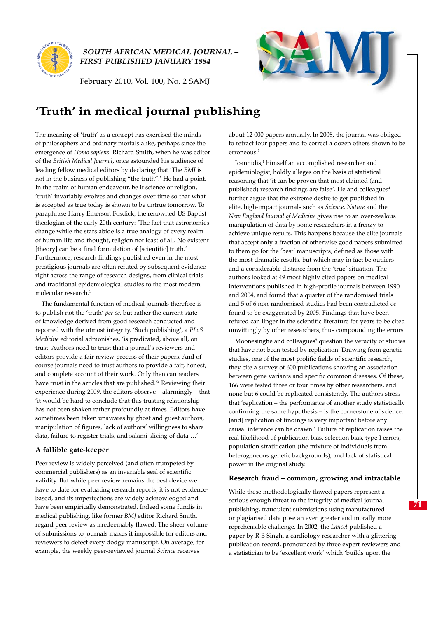

*SOUTH AFRICAN MEDICAL JOURNAL – FIRST PUBLISHED JANUARY 1884*

February 2010, Vol. 100, No. 2 SAMJ



# **'Truth' in medical journal publishing**

The meaning of 'truth' as a concept has exercised the minds of philosophers and ordinary mortals alike, perhaps since the emergence of *Homo sapiens*. Richard Smith, when he was editor of the *British Medical Journal*, once astounded his audience of leading fellow medical editors by declaring that 'The *BMJ* is not in the business of publishing "the truth".' He had a point. In the realm of human endeavour, be it science or religion, 'truth' invariably evolves and changes over time so that what is accepted as true today is shown to be untrue tomorrow. To paraphrase Harry Emerson Fosdick, the renowned US Baptist theologian of the early 20th century: 'The fact that astronomies change while the stars abide is a true analogy of every realm of human life and thought, religion not least of all. No existent [theory] can be a final formulation of [scientific] truth.' Furthermore, research findings published even in the most prestigious journals are often refuted by subsequent evidence right across the range of research designs, from clinical trials and traditional epidemiological studies to the most modern molecular research.<sup>1</sup>

The fundamental function of medical journals therefore is to publish not the 'truth' *per se*, but rather the current state of knowledge derived from good research conducted and reported with the utmost integrity. 'Such publishing', a *PLoS Medicine* editorial admonishes, 'is predicated, above all, on trust. Authors need to trust that a journal's reviewers and editors provide a fair review process of their papers. And of course journals need to trust authors to provide a fair, honest, and complete account of their work. Only then can readers have trust in the articles that are published.<sup>'2</sup> Reviewing their experience during 2009, the editors observe – alarmingly – that 'it would be hard to conclude that this trusting relationship has not been shaken rather profoundly at times. Editors have sometimes been taken unawares by ghost and guest authors, manipulation of figures, lack of authors' willingness to share data, failure to register trials, and salami-slicing of data …'

## **A fallible gate-keeper**

Peer review is widely perceived (and often trumpeted by commercial publishers) as an invariable seal of scientific validity. But while peer review remains the best device we have to date for evaluating research reports, it is not evidencebased, and its imperfections are widely acknowledged and have been empirically demonstrated. Indeed some fundis in medical publishing, like former *BMJ* editor Richard Smith, regard peer review as irredeemably flawed. The sheer volume of submissions to journals makes it impossible for editors and reviewers to detect every dodgy manuscript. On average, for example, the weekly peer-reviewed journal *Science* receives

about 12 000 papers annually. In 2008, the journal was obliged to retract four papers and to correct a dozen others shown to be erroneous<sup>3</sup>

Ioannidis,<sup>1</sup> himself an accomplished researcher and epidemiologist, boldly alleges on the basis of statistical reasoning that 'it can be proven that most claimed (and published) research findings are false'. He and colleagues<sup>4</sup> further argue that the extreme desire to get published in elite, high-impact journals such as *Science, Nature* and the *New England Journal of Medicine* gives rise to an over-zealous manipulation of data by some researchers in a frenzy to achieve unique results. This happens because the elite journals that accept only a fraction of otherwise good papers submitted to them go for the 'best' manuscripts, defined as those with the most dramatic results, but which may in fact be outliers and a considerable distance from the 'true' situation. The authors looked at 49 most highly cited papers on medical interventions published in high-profile journals between 1990 and 2004, and found that a quarter of the randomised trials and 5 of 6 non-randomised studies had been contradicted or found to be exaggerated by 2005. Findings that have been refuted can linger in the scientific literature for years to be cited unwittingly by other researchers, thus compounding the errors.

Moonesinghe and colleagues<sup>5</sup> question the veracity of studies that have not been tested by replication. Drawing from genetic studies, one of the most prolific fields of scientific research, they cite a survey of 600 publications showing an association between gene variants and specific common diseases. Of these, 166 were tested three or four times by other researchers, and none but 6 could be replicated consistently. The authors stress that 'replication – the performance of another study statistically confirming the same hypothesis – is the cornerstone of science, [and] replication of findings is very important before any causal inference can be drawn.' Failure of replication raises the real likelihood of publication bias, selection bias, type I errors, population stratification (the mixture of individuals from heterogeneous genetic backgrounds), and lack of statistical power in the original study.

### **Research fraud – common, growing and intractable**

While these methodologically flawed papers represent a serious enough threat to the integrity of medical journal publishing, fraudulent submissions using manufactured or plagiarised data pose an even greater and morally more reprehensible challenge. In 2002, the *Lancet* published a paper by R B Singh, a cardiology researcher with a glittering publication record, pronounced by three expert reviewers and a statistician to be 'excellent work' which 'builds upon the